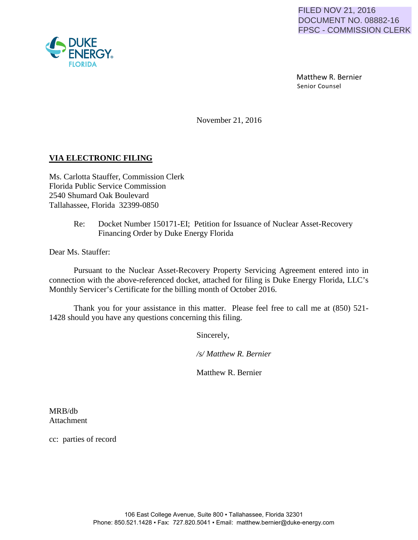Matthew R. Bernier Senior Counsel

November 21, 2016

## **VIA ELECTRONIC FILING**

Ms. Carlotta Stauffer, Commission Clerk Florida Public Service Commission 2540 Shumard Oak Boulevard Tallahassee, Florida 32399-0850

> Re: Docket Number 150171-EI; Petition for Issuance of Nuclear Asset-Recovery Financing Order by Duke Energy Florida

Dear Ms. Stauffer:

Pursuant to the Nuclear Asset-Recovery Property Servicing Agreement entered into in connection with the above-referenced docket, attached for filing is Duke Energy Florida, LLC's Monthly Servicer's Certificate for the billing month of October 2016.

Thank you for your assistance in this matter. Please feel free to call me at (850) 521- 1428 should you have any questions concerning this filing.

Sincerely,

*/s/ Matthew R. Bernier*

Matthew R. Bernier

MRB/db Attachment

cc: parties of record

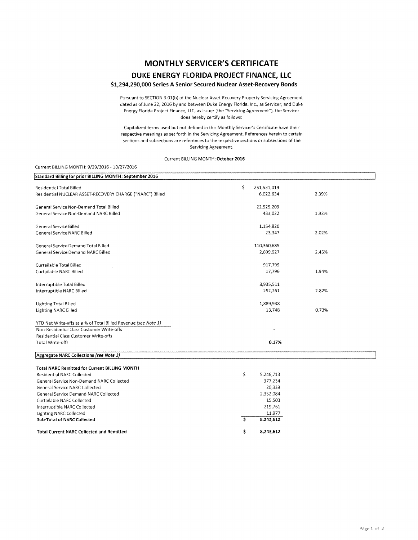# **MONTHLY SERVICER'S CERTIFICATE DUKE ENERGY FLORIDA PROJECT FINANCE, LLC**

### **\$1,294,290,000 Series A Senior Secured Nuclear Asset-Recovery Bonds**

Pursuant to SECTION 3.01(b) ot the Nuclear Asset-Recovery Property Servicing Agreement dated as of June 22, 2016 by and between Duke Energy Florida, Inc., as Servicer, and Duke Energy Florida Project Finance, LLC, as Issuer (the "Servicing Agreement"), the Servicer does hereby certify as follows:

Capitalized terms used but not defined in this Monthly Servicer's Certificate have their respective meanings as set forth in the Servicing Agreement. References herein to certain sections and subsections are references to the respective sections or subsections of the Servicing Agreement.

#### Current BILLING MONTH: October 2016

#### Current BILLING MONTH: 9/29/2016 10/27/2016

| Standard Billing for prior BILLING MONTH: September 2016       |                   |       |
|----------------------------------------------------------------|-------------------|-------|
| <b>Residential Total Billed</b>                                | \$<br>251,531,019 |       |
| Residential NUCLEAR ASSET-RECOVERY CHARGE ("NARC") Billed      | 6,022,634         | 2.39% |
|                                                                |                   |       |
| General Service Non-Demand Total Billed                        | 22,525,209        |       |
| General Service Non-Demand NARC Billed                         | 433,022           | 1.92% |
|                                                                |                   |       |
| General Service Billed                                         | 1,154,820         |       |
| General Service NARC Billed                                    | 23,347            | 2.02% |
|                                                                |                   |       |
| General Service Demand Total Billed                            | 110,360,685       |       |
| <b>General Service Demand NARC Billed</b>                      | 2,699,927         | 2.45% |
|                                                                |                   |       |
| Curtailable Total Billed                                       | 917,799           |       |
| Curtailable NARC Billed                                        | 17,796            | 1.94% |
|                                                                |                   |       |
| Interruptible Total Billed                                     | 8,935,511         |       |
| Interruptible NARC Billed                                      | 252,261           | 2.82% |
| <b>Lighting Total Billed</b>                                   | 1,889,938         |       |
| Lighting NARC Billed                                           | 13,748            | 0.73% |
|                                                                |                   |       |
| YTD Net Write-offs as a % of Total Billed Revenue (see Note 1) |                   |       |
| Non-Residential Class Customer Write-offs                      |                   |       |
| Residential Class Customer Write-offs                          |                   |       |
| <b>Total Write-offs</b>                                        | 0.17%             |       |
|                                                                |                   |       |
| Aggregate NARC Collections (see Note 2)                        |                   |       |
| <b>Total NARC Remitted for Current BILLING MONTH</b>           |                   |       |
| <b>Residential NARC Collected</b>                              | \$<br>5,246,713   |       |
| General Service Non-Demand NARC Collected                      | 377,234           |       |
| <b>General Service NARC Collected</b>                          | 20,339            |       |
| General Service Demand NARC Collected                          | 2,352,084         |       |
| Curtailable NARC Collected                                     | 15,503            |       |
| Interruptible NARC Collected                                   | 219,761           |       |
| <b>Lighting NARC Collected</b>                                 | 11,977            |       |
| <b>Sub-Total of NARC Collected</b>                             | Ŝ.<br>8,243,612   |       |

\$

8,243,612

Total Current NARC Collected and Remitted